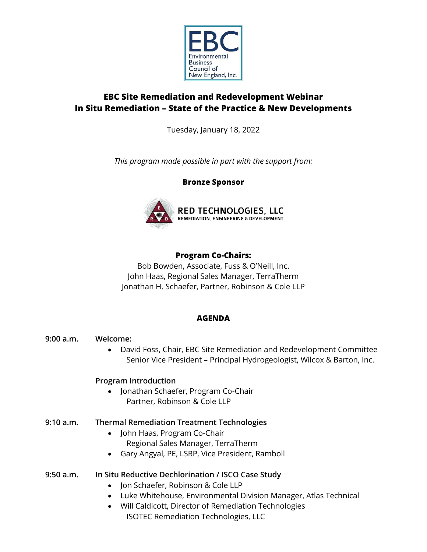

# **EBC Site Remediation and Redevelopment Webinar In Situ Remediation – State of the Practice & New Developments**

Tuesday, January 18, 2022

*This program made possible in part with the support from:*

**Bronze Sponsor**



# **Program Co-Chairs:**

Bob Bowden, Associate, Fuss & O'Neill, Inc. John Haas, Regional Sales Manager, TerraTherm Jonathan H. Schaefer, Partner, Robinson & Cole LLP

# **AGENDA**

**9:00 a.m. Welcome:** • David Foss, Chair, EBC Site Remediation and Redevelopment Committee Senior Vice President – Principal Hydrogeologist, Wilcox & Barton, Inc.

# **Program Introduction**

• Jonathan Schaefer, Program Co-Chair Partner, Robinson & Cole LLP

# **9:10 a.m. Thermal Remediation Treatment Technologies**

- John Haas, Program Co-Chair Regional Sales Manager, TerraTherm
- Gary Angyal, PE, LSRP, Vice President, Ramboll

# **9:50 a.m. In Situ Reductive Dechlorination / ISCO Case Study**

- Jon Schaefer, Robinson & Cole LLP
- Luke Whitehouse, Environmental Division Manager, Atlas Technical
- Will Caldicott, Director of Remediation Technologies ISOTEC Remediation Technologies, LLC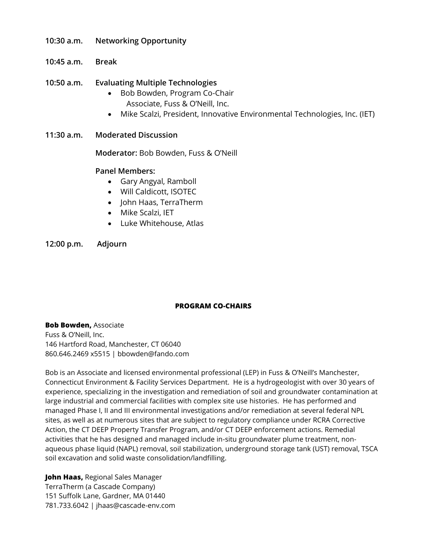- **10:30 a.m. Networking Opportunity**
- **10:45 a.m. Break**
- **10:50 a.m. Evaluating Multiple Technologies**
	- Bob Bowden, Program Co-Chair Associate, Fuss & O'Neill, Inc.
	- Mike Scalzi, President, Innovative Environmental Technologies, Inc. (IET)
- **11:30 a.m. Moderated Discussion**

**Moderator:** Bob Bowden, Fuss & O'Neill

### **Panel Members:**

- Gary Angyal, Ramboll
- Will Caldicott, ISOTEC
- John Haas, TerraTherm
- Mike Scalzi, IET
- Luke Whitehouse, Atlas

**12:00 p.m. Adjourn**

#### **PROGRAM CO-CHAIRS**

**Bob Bowden,** Associate Fuss & O'Neill, Inc. 146 Hartford Road, Manchester, CT 06040 860.646.2469 x5515 | bbowden@fando.com

Bob is an Associate and licensed environmental professional (LEP) in Fuss & O'Neill's Manchester, Connecticut Environment & Facility Services Department. He is a hydrogeologist with over 30 years of experience, specializing in the investigation and remediation of soil and groundwater contamination at large industrial and commercial facilities with complex site use histories. He has performed and managed Phase I, II and III environmental investigations and/or remediation at several federal NPL sites, as well as at numerous sites that are subject to regulatory compliance under RCRA Corrective Action, the CT DEEP Property Transfer Program, and/or CT DEEP enforcement actions. Remedial activities that he has designed and managed include in-situ groundwater plume treatment, nonaqueous phase liquid (NAPL) removal, soil stabilization, underground storage tank (UST) removal, TSCA soil excavation and solid waste consolidation/landfilling.

**John Haas,** Regional Sales Manager TerraTherm (a Cascade Company) 151 Suffolk Lane, Gardner, MA 01440 781.733.6042 | jhaas@cascade-env.com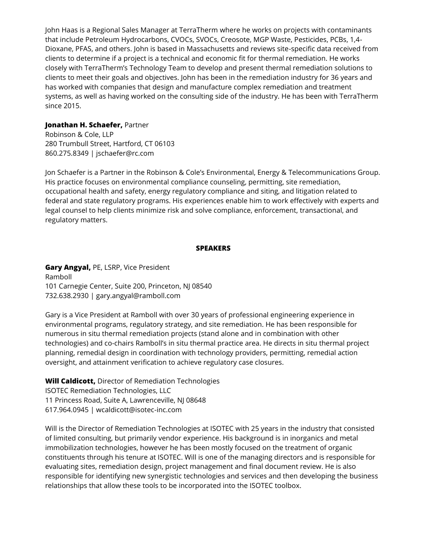John Haas is a Regional Sales Manager at TerraTherm where he works on projects with contaminants that include Petroleum Hydrocarbons, CVOCs, SVOCs, Creosote, MGP Waste, Pesticides, PCBs, 1,4- Dioxane, PFAS, and others. John is based in Massachusetts and reviews site-specific data received from clients to determine if a project is a technical and economic fit for thermal remediation. He works closely with TerraTherm's Technology Team to develop and present thermal remediation solutions to clients to meet their goals and objectives. John has been in the remediation industry for 36 years and has worked with companies that design and manufacture complex remediation and treatment systems, as well as having worked on the consulting side of the industry. He has been with TerraTherm since 2015.

#### **Jonathan H. Schaefer,** Partner

Robinson & Cole, LLP 280 Trumbull Street, Hartford, CT 06103 860.275.8349 | jschaefer@rc.com

Jon Schaefer is a Partner in the Robinson & Cole's Environmental, Energy & Telecommunications Group. His practice focuses on environmental compliance counseling, permitting, site remediation, occupational health and safety, energy regulatory compliance and siting, and litigation related to federal and state regulatory programs. His experiences enable him to work effectively with experts and legal counsel to help clients minimize risk and solve compliance, enforcement, transactional, and regulatory matters.

#### **SPEAKERS**

**Gary Angyal,** PE, LSRP, Vice President Ramboll 101 Carnegie Center, Suite 200, Princeton, NJ 08540 732.638.2930 | gary.angyal@ramboll.com

Gary is a Vice President at Ramboll with over 30 years of professional engineering experience in environmental programs, regulatory strategy, and site remediation. He has been responsible for numerous in situ thermal remediation projects (stand alone and in combination with other technologies) and co-chairs Ramboll's in situ thermal practice area. He directs in situ thermal project planning, remedial design in coordination with technology providers, permitting, remedial action oversight, and attainment verification to achieve regulatory case closures.

**Will Caldicott,** Director of Remediation Technologies ISOTEC Remediation Technologies, LLC

11 Princess Road, Suite A, Lawrenceville, NJ 08648

617.964.0945 | wcaldicott@isotec-inc.com

Will is the Director of Remediation Technologies at ISOTEC with 25 years in the industry that consisted of limited consulting, but primarily vendor experience. His background is in inorganics and metal immobilization technologies, however he has been mostly focused on the treatment of organic constituents through his tenure at ISOTEC. Will is one of the managing directors and is responsible for evaluating sites, remediation design, project management and final document review. He is also responsible for identifying new synergistic technologies and services and then developing the business relationships that allow these tools to be incorporated into the ISOTEC toolbox.